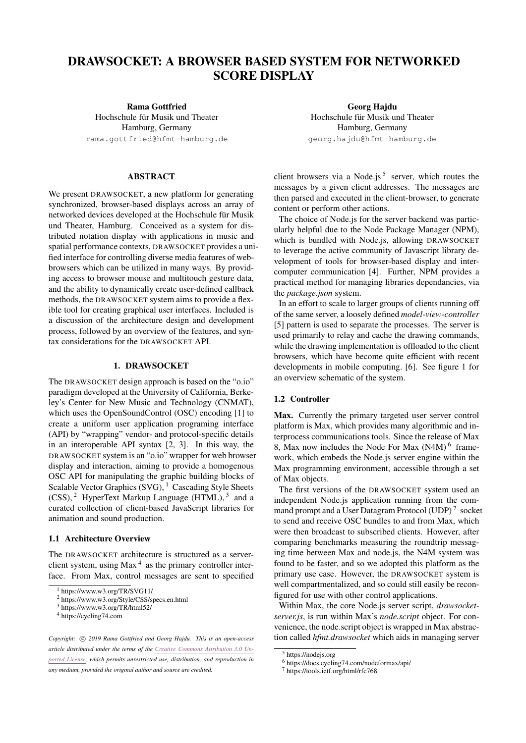# DRAWSOCKET: A BROWSER BASED SYSTEM FOR NETWORKED SCORE DISPLAY

Rama Gottfried Hochschule für Musik und Theater Hamburg, Germany [rama.gottfried@hfmt-hamburg.de](mailto:rama.gottfried@hfmt-hamburg.de)

# ABSTRACT

We present DRAWSOCKET, a new platform for generating synchronized, browser-based displays across an array of networked devices developed at the Hochschule für Musik und Theater, Hamburg. Conceived as a system for distributed notation display with applications in music and spatial performance contexts, DRAWSOCKET provides a unified interface for controlling diverse media features of webbrowsers which can be utilized in many ways. By providing access to browser mouse and multitouch gesture data, and the ability to dynamically create user-defined callback methods, the DRAWSOCKET system aims to provide a flexible tool for creating graphical user interfaces. Included is a discussion of the architecture design and development process, followed by an overview of the features, and syntax considerations for the DRAWSOCKET API.

# 1. DRAWSOCKET

The DRAWSOCKET design approach is based on the "o.io" paradigm developed at the University of California, Berkeley's Center for New Music and Technology (CNMAT), which uses the OpenSoundControl (OSC) encoding [\[1\]](#page-10-0) to create a uniform user application programing interface (API) by "wrapping" vendor- and protocol-specific details in an interoperable API syntax [\[2,](#page-10-1) [3\]](#page-10-2). In this way, the DRAWSOCKET system is an "o.io" wrapper for web browser display and interaction, aiming to provide a homogenous OSC API for manipulating the graphic building blocks of Scalable Vector Graphics  $(SVG)$ , <sup>[1](#page-0-0)</sup> Cascading Style Sheets  $(CSS)$ , <sup>[2](#page-0-1)</sup> HyperText Markup Language (HTML), <sup>[3](#page-0-2)</sup> and a curated collection of client-based JavaScript libraries for animation and sound production.

#### 1.1 Architecture Overview

The DRAWSOCKET architecture is structured as a serverclient system, using  $Max<sup>4</sup>$  $Max<sup>4</sup>$  $Max<sup>4</sup>$  as the primary controller interface. From Max, control messages are sent to specified

Georg Hajdu Hochschule für Musik und Theater Hamburg, Germany [georg.hajdu@hfmt-hamburg.de](mailto:georg.hajdu@hfmt-hamburg.de)

client browsers via a Node.js<sup>[5](#page-0-4)</sup> server, which routes the messages by a given client addresses. The messages are then parsed and executed in the client-browser, to generate content or perform other actions.

The choice of Node.js for the server backend was particularly helpful due to the Node Package Manager (NPM), which is bundled with Node.js, allowing DRAWSOCKET to leverage the active community of Javascript library development of tools for browser-based display and intercomputer communication [\[4\]](#page-10-3). Further, NPM provides a practical method for managing libraries dependancies, via the *package.json* system.

In an effort to scale to larger groups of clients running off of the same server, a loosely defined *model-view-controller* [\[5\]](#page-10-4) pattern is used to separate the processes. The server is used primarily to relay and cache the drawing commands, while the drawing implementation is offloaded to the client browsers, which have become quite efficient with recent developments in mobile computing. [\[6\]](#page-10-5). See figure [1](#page-1-0) for an overview schematic of the system.

# 1.2 Controller

Max. Currently the primary targeted user server control platform is Max, which provides many algorithmic and interprocess communications tools. Since the release of Max 8, Max now includes the Node For Max (N4M) [6](#page-0-5) framework, which embeds the Node.js server engine within the Max programming environment, accessible through a set of Max objects.

The first versions of the DRAWSOCKET system used an independent Node.js application running from the com-mand prompt and a User Datagram Protocol (UDP)<sup>[7](#page-0-6)</sup> socket to send and receive OSC bundles to and from Max, which were then broadcast to subscribed clients. However, after comparing benchmarks measuring the roundtrip messaging time between Max and node.js, the N4M system was found to be faster, and so we adopted this platform as the primary use case. However, the DRAWSOCKET system is well compartmentalized, and so could still easily be reconfigured for use with other control applications.

Within Max, the core Node.js server script, *drawsocketserver.js*, is run within Max's *node.script* object. For convenience, the node.script object is wrapped in Max abstraction called *hfmt.drawsocket* which aids in managing server

<span id="page-0-0"></span><sup>1</sup> https://www.w3.org/TR/SVG11/

<span id="page-0-1"></span><sup>2</sup> https://www.w3.org/Style/CSS/specs.en.html

<span id="page-0-2"></span><sup>3</sup> https://www.w3.org/TR/html52/

<span id="page-0-3"></span><sup>4</sup> https://cycling74.com

Copyright:  $\odot$  2019 Rama Gottfried and Georg Hajdu. This is an open-access *article distributed under the terms of the Creative Commons [Attribution](http://creativecommons.org/licenses/by/3.0/) 3.0 Unported [License,](http://creativecommons.org/licenses/by/3.0/) which permits unrestricted use, distribution, and reproduction in any medium, provided the original author and source are credited.*

<span id="page-0-4"></span><sup>5</sup> https://nodejs.org

<span id="page-0-5"></span><sup>6</sup> https://docs.cycling74.com/nodeformax/api/

<span id="page-0-6"></span><sup>7</sup> https://tools.ietf.org/html/rfc768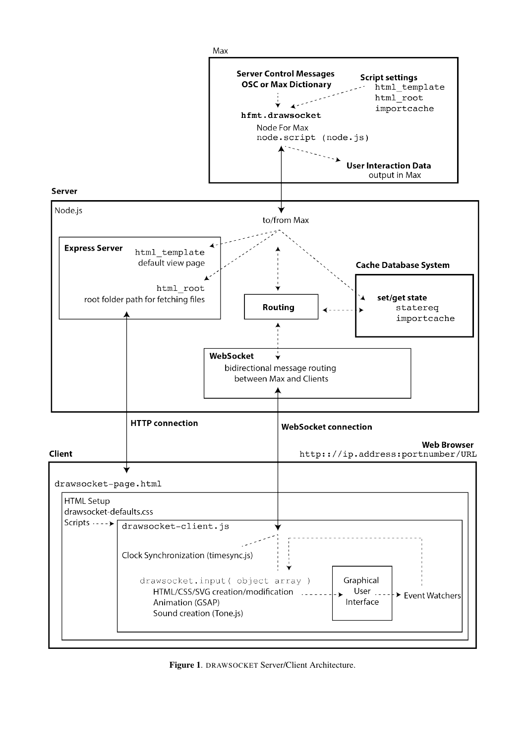

<span id="page-1-0"></span>Figure 1. DRAWSOCKET Server/Client Architecture.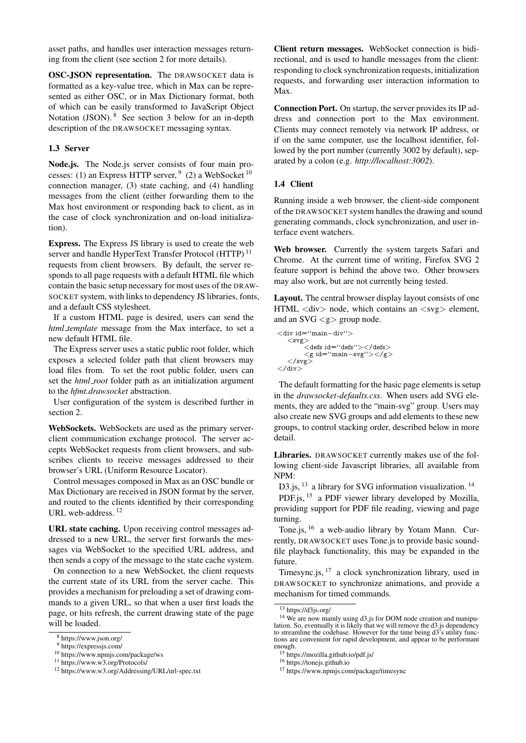asset paths, and handles user interaction messages returning from the client (see section [2](#page-3-0) for more details).

OSC-JSON representation. The DRAWSOCKET data is formatted as a key-value tree, which in Max can be represented as either OSC, or in Max Dictionary format, both of which can be easily transformed to JavaScript Object Notation (JSON). [8](#page-2-0) See section [3](#page-3-1) below for an in-depth description of the DRAWSOCKET messaging syntax.

## 1.3 Server

Node.js. The Node.js server consists of four main processes: (1) an Express HTTP server,  $9(2)$  $9(2)$  a WebSocket  $10$ connection manager, (3) state caching, and (4) handling messages from the client (either forwarding them to the Max host environment or responding back to client, as in the case of clock synchronization and on-load initialization).

Express. The Express JS library is used to create the web server and handle HyperText Transfer Protocol (HTTP)<sup>[11](#page-2-3)</sup> requests from client browsers. By default, the server responds to all page requests with a default HTML file which contain the basic setup necessary for most uses of the DRAW-SOCKET system, with links to dependency JS libraries, fonts, and a default CSS stylesheet.

If a custom HTML page is desired, users can send the *html template* message from the Max interface, to set a new default HTML file.

The Express server uses a static public root folder, which exposes a selected folder path that client browsers may load files from. To set the root public folder, users can set the *html root* folder path as an initialization argument to the *hfmt.drawsocket* abstraction.

User configuration of the system is described further in section [2.](#page-3-0)

WebSockets. WebSockets are used as the primary serverclient communication exchange protocol. The server accepts WebSocket requests from client browsers, and subscribes clients to receive messages addressed to their browser's URL (Uniform Resource Locator).

Control messages composed in Max as an OSC bundle or Max Dictionary are received in JSON format by the server, and routed to the clients identified by their corresponding URL web-address.<sup>[12](#page-2-4)</sup>

URL state caching. Upon receiving control messages addressed to a new URL, the server first forwards the messages via WebSocket to the specified URL address, and then sends a copy of the message to the state cache system.

On connection to a new WebSocket, the client requests the current state of its URL from the server cache. This provides a mechanism for preloading a set of drawing commands to a given URL, so that when a user first loads the page, or hits refresh, the current drawing state of the page will be loaded.

Client return messages. WebSocket connection is bidirectional, and is used to handle messages from the client: responding to clock synchronization requests, initialization requests, and forwarding user interaction information to Max.

Connection Port. On startup, the server provides its IP address and connection port to the Max environment. Clients may connect remotely via network IP address, or if on the same computer, use the localhost identifier, followed by the port number (currently 3002 by default), separated by a colon (e.g. *http://localhost:3002*).

## 1.4 Client

Running inside a web browser, the client-side component of the DRAWSOCKET system handles the drawing and sound generating commands, clock synchronization, and user interface event watchers.

Web browser. Currently the system targets Safari and Chrome. At the current time of writing, Firefox SVG 2 feature support is behind the above two. Other browsers may also work, but are not currently being tested.

Layout. The central browser display layout consists of one  $HTML \langle div \rangle$  node, which contains an  $\langle avg \rangle$  element, and an SVG <g> group node.

<div id=''main−div''> <svg> <defs id=''defs''></defs>  $\langle g \text{ id} = \text{``main-svg''} \rangle \langle g \rangle$  $\rm{<}$ /svg $\rm{>}$  $\langle$  /div

The default formatting for the basic page elements is setup in the *drawsocket-defaults.css*. When users add SVG elements, they are added to the "main-svg" group. Users may also create new SVG groups and add elements to these new groups, to control stacking order, described below in more detail.

Libraries. DRAWSOCKET currently makes use of the following client-side Javascript libraries, all available from NPM:

D3.js, <sup>[13](#page-2-5)</sup> a library for SVG information visualization.<sup>[14](#page-2-6)</sup>

PDF.js, [15](#page-2-7) a PDF viewer library developed by Mozilla, providing support for PDF file reading, viewing and page turning.

Tone.is, <sup>[16](#page-2-8)</sup> a web-audio library by Yotam Mann. Currently, DRAWSOCKET uses Tone.js to provide basic soundfile playback functionality, this may be expanded in the future.

Timesync.js,  $17$  a clock synchronization library, used in DRAWSOCKET to synchronize animations, and provide a mechanism for timed commands.

<span id="page-2-0"></span><sup>8</sup> https://www.json.org/

<span id="page-2-1"></span><sup>9</sup> https://expressjs.com/

<span id="page-2-2"></span><sup>10</sup> https://www.npmjs.com/package/ws

<span id="page-2-3"></span><sup>11</sup> https://www.w3.org/Protocols/

<span id="page-2-4"></span><sup>12</sup> https://www.w3.org/Addressing/URL/url-spec.txt

<span id="page-2-6"></span><span id="page-2-5"></span><sup>13</sup> https://d3js.org/

<sup>&</sup>lt;sup>14</sup> We are now mainly using d3.js for DOM node creation and manipulation. So, eventually it is likely that we will remove the d3.js dependency to streamline the codebase. However for the time being d3's utility functions are convenient for rapid development, and appear to be performant enough.

<span id="page-2-7"></span> $\frac{1}{10}$  https://mozilla.github.io/pdf.js/

<span id="page-2-8"></span><sup>16</sup> https://tonejs.github.io

<span id="page-2-9"></span><sup>17</sup> https://www.npmjs.com/package/timesync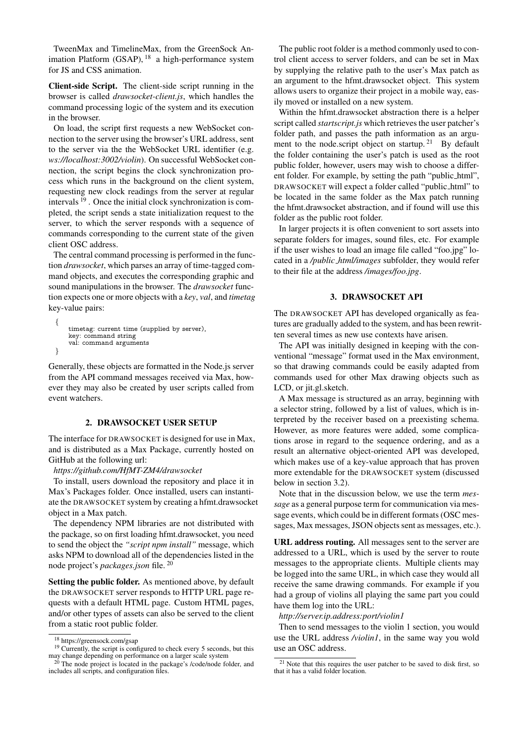TweenMax and TimelineMax, from the GreenSock An-imation Platform (GSAP), <sup>[18](#page-3-2)</sup> a high-performance system for JS and CSS animation.

Client-side Script. The client-side script running in the browser is called *drawsocket-client.js*, which handles the command processing logic of the system and its execution in the browser.

On load, the script first requests a new WebSocket connection to the server using the browser's URL address, sent to the server via the the WebSocket URL identifier (e.g. *ws://localhost:3002/violin*). On successful WebSocket connection, the script begins the clock synchronization process which runs in the background on the client system, requesting new clock readings from the server at regular intervals [19](#page-3-3) . Once the initial clock synchronization is completed, the script sends a state initialization request to the server, to which the server responds with a sequence of commands corresponding to the current state of the given client OSC address.

The central command processing is performed in the function *drawsocket*, which parses an array of time-tagged command objects, and executes the corresponding graphic and sound manipulations in the browser. The *drawsocket* function expects one or more objects with a *key*, *val*, and *timetag* key-value pairs:

```
{
   timetag: current time (supplied by server),
   key: command string
   val: command arguments
}
```
Generally, these objects are formatted in the Node.js server from the API command messages received via Max, however they may also be created by user scripts called from event watchers.

#### 2. DRAWSOCKET USER SETUP

<span id="page-3-0"></span>The interface for DRAWSOCKET is designed for use in Max, and is distributed as a Max Package, currently hosted on GitHub at the following url:

*https://github.com/HfMT-ZM4/drawsocket*

To install, users download the repository and place it in Max's Packages folder. Once installed, users can instantiate the DRAWSOCKET system by creating a hfmt.drawsocket object in a Max patch.

The dependency NPM libraries are not distributed with the package, so on first loading hfmt.drawsocket, you need to send the object the *"script npm install"* message, which asks NPM to download all of the dependencies listed in the node project's *packages.json* file. [20](#page-3-4)

Setting the public folder. As mentioned above, by default the DRAWSOCKET server responds to HTTP URL page requests with a default HTML page. Custom HTML pages, and/or other types of assets can also be served to the client from a static root public folder.

The public root folder is a method commonly used to control client access to server folders, and can be set in Max by supplying the relative path to the user's Max patch as an argument to the hfmt.drawsocket object. This system allows users to organize their project in a mobile way, easily moved or installed on a new system.

Within the hfmt.drawsocket abstraction there is a helper script called *startscript.js* which retrieves the user patcher's folder path, and passes the path information as an argu-ment to the node.script object on startup.<sup>[21](#page-3-5)</sup> By default the folder containing the user's patch is used as the root public folder, however, users may wish to choose a different folder. For example, by setting the path "public html", DRAWSOCKET will expect a folder called "public html" to be located in the same folder as the Max patch running the hfmt.drawsocket abstraction, and if found will use this folder as the public root folder.

In larger projects it is often convenient to sort assets into separate folders for images, sound files, etc. For example if the user wishes to load an image file called "foo.jpg" located in a */public html/images* subfolder, they would refer to their file at the address */images/foo.jpg*.

## 3. DRAWSOCKET API

<span id="page-3-1"></span>The DRAWSOCKET API has developed organically as features are gradually added to the system, and has been rewritten several times as new use contexts have arisen.

The API was initially designed in keeping with the conventional "message" format used in the Max environment, so that drawing commands could be easily adapted from commands used for other Max drawing objects such as LCD, or jit.gl.sketch.

A Max message is structured as an array, beginning with a selector string, followed by a list of values, which is interpreted by the receiver based on a preexisting schema. However, as more features were added, some complications arose in regard to the sequence ordering, and as a result an alternative object-oriented API was developed, which makes use of a key-value approach that has proven more extendable for the DRAWSOCKET system (discussed below in section [3.2\)](#page-4-0).

Note that in the discussion below, we use the term *message* as a general purpose term for communication via message events, which could be in different formats (OSC messages, Max messages, JSON objects sent as messages, etc.).

URL address routing. All messages sent to the server are addressed to a URL, which is used by the server to route messages to the appropriate clients. Multiple clients may be logged into the same URL, in which case they would all receive the same drawing commands. For example if you had a group of violins all playing the same part you could have them log into the URL:

*http://server.ip.address:port/violin1*

Then to send messages to the violin 1 section, you would use the URL address */violin1*, in the same way you wold use an OSC address.

<span id="page-3-3"></span><span id="page-3-2"></span><sup>18</sup> https://greensock.com/gsap

<sup>&</sup>lt;sup>19</sup> Currently, the script is configured to check every 5 seconds, but this may change depending on performance on a larger scale system<br>
20 The needs  $\frac{1}{2}$ 

<span id="page-3-4"></span>The node project is located in the package's /code/node folder, and includes all scripts, and configuration files.

<span id="page-3-5"></span><sup>&</sup>lt;sup>21</sup> Note that this requires the user patcher to be saved to disk first, so that it has a valid folder location.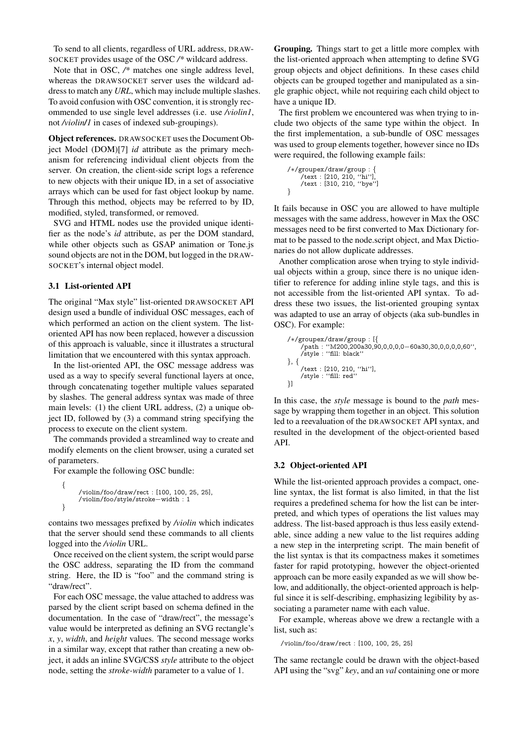To send to all clients, regardless of URL address, DRAW-SOCKET provides usage of the OSC */\** wildcard address.

Note that in OSC, */\** matches one single address level, whereas the DRAWSOCKET server uses the wildcard address to match any *URL*, which may include multiple slashes. To avoid confusion with OSC convention, it is strongly recommended to use single level addresses (i.e. use */violin1*, not */violin/1* in cases of indexed sub-groupings).

Object references. DRAWSOCKET uses the Document Object Model (DOM)[\[7\]](#page-10-6) *id* attribute as the primary mechanism for referencing individual client objects from the server. On creation, the client-side script logs a reference to new objects with their unique ID, in a set of associative arrays which can be used for fast object lookup by name. Through this method, objects may be referred to by ID, modified, styled, transformed, or removed.

SVG and HTML nodes use the provided unique identifier as the node's *id* attribute, as per the DOM standard, while other objects such as GSAP animation or Tone.js sound objects are not in the DOM, but logged in the DRAW-SOCKET's internal object model.

## 3.1 List-oriented API

The original "Max style" list-oriented DRAWSOCKET API design used a bundle of individual OSC messages, each of which performed an action on the client system. The listoriented API has now been replaced, however a discussion of this approach is valuable, since it illustrates a structural limitation that we encountered with this syntax approach.

In the list-oriented API, the OSC message address was used as a way to specify several functional layers at once, through concatenating together multiple values separated by slashes. The general address syntax was made of three main levels: (1) the client URL address, (2) a unique object ID, followed by (3) a command string specifying the process to execute on the client system.

The commands provided a streamlined way to create and modify elements on the client browser, using a curated set of parameters.

For example the following OSC bundle:

```
{
     /violin/foo/draw/rect : [100, 100, 25, 25],
     /violin/foo/style/stroke−width : 1
}
```
contains two messages prefixed by */violin* which indicates that the server should send these commands to all clients logged into the */violin* URL.

Once received on the client system, the script would parse the OSC address, separating the ID from the command string. Here, the ID is "foo" and the command string is "draw/rect".

For each OSC message, the value attached to address was parsed by the client script based on schema defined in the documentation. In the case of "draw/rect", the message's value would be interpreted as defining an SVG rectangle's *x*, *y*, *width*, and *height* values. The second message works in a similar way, except that rather than creating a new object, it adds an inline SVG/CSS *style* attribute to the object node, setting the *stroke-width* parameter to a value of 1.

Grouping. Things start to get a little more complex with the list-oriented approach when attempting to define SVG group objects and object definitions. In these cases child objects can be grouped together and manipulated as a single graphic object, while not requiring each child object to have a unique ID.

The first problem we encountered was when trying to include two objects of the same type within the object. In the first implementation, a sub-bundle of OSC messages was used to group elements together, however since no IDs were required, the following example fails:

/∗/groupex/draw/group : { /text : [210, 210, ''hi''], /text : [310, 210, ''bye''] }

It fails because in OSC you are allowed to have multiple messages with the same address, however in Max the OSC messages need to be first converted to Max Dictionary format to be passed to the node.script object, and Max Dictionaries do not allow duplicate addresses.

Another complication arose when trying to style individual objects within a group, since there is no unique identifier to reference for adding inline style tags, and this is not accessible from the list-oriented API syntax. To address these two issues, the list-oriented grouping syntax was adapted to use an array of objects (aka sub-bundles in OSC). For example:

```
/∗/groupex/draw/group : [{
     /path : ''M200,200a30,90,0,0,0,0−60a30,30,0,0,0,0,60'',
     /style : ''fill: black''
}, {
     /text : [210, 210, ''hi''],
/style : ''fill: red''
}]
```
In this case, the *style* message is bound to the *path* message by wrapping them together in an object. This solution led to a reevaluation of the DRAWSOCKET API syntax, and resulted in the development of the object-oriented based API.

## <span id="page-4-0"></span>3.2 Object-oriented API

While the list-oriented approach provides a compact, oneline syntax, the list format is also limited, in that the list requires a predefined schema for how the list can be interpreted, and which types of operations the list values may address. The list-based approach is thus less easily extendable, since adding a new value to the list requires adding a new step in the interpreting script. The main benefit of the list syntax is that its compactness makes it sometimes faster for rapid prototyping, however the object-oriented approach can be more easily expanded as we will show below, and additionally, the object-oriented approach is helpful since it is self-describing, emphasizing legibility by associating a parameter name with each value.

For example, whereas above we drew a rectangle with a list, such as:

/violin/foo/draw/rect : [100, 100, 25, 25]

The same rectangle could be drawn with the object-based API using the "svg" *key*, and an *val* containing one or more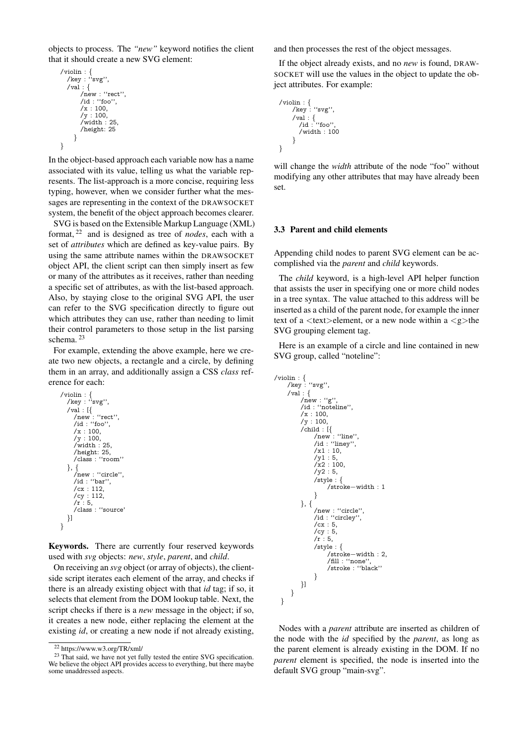objects to process. The *"new"* keyword notifies the client that it should create a new SVG element:

```
/violin : {
/key : ''svg'',
  \sqrt{val} : {
        /new : ''rect'',
         /id : ''foo'',
         /x : 100,/y : 100,
/width : 25,
         /height: 25
      }
}
```
In the object-based approach each variable now has a name associated with its value, telling us what the variable represents. The list-approach is a more concise, requiring less typing, however, when we consider further what the messages are representing in the context of the DRAWSOCKET system, the benefit of the object approach becomes clearer.

SVG is based on the Extensible Markup Language (XML) format, [22](#page-5-0) and is designed as tree of *nodes*, each with a set of *attributes* which are defined as key-value pairs. By using the same attribute names within the DRAWSOCKET object API, the client script can then simply insert as few or many of the attributes as it receives, rather than needing a specific set of attributes, as with the list-based approach. Also, by staying close to the original SVG API, the user can refer to the SVG specification directly to figure out which attributes they can use, rather than needing to limit their control parameters to those setup in the list parsing schema. [23](#page-5-1)

For example, extending the above example, here we create two new objects, a rectangle and a circle, by defining them in an array, and additionally assign a CSS *class* reference for each:

```
/violin : {
/key : ''svg'',
   /val : [{
       /new : ''rect'',
/id : ''foo'',
       /x : 100,
       /y : 100,
/width : 25,
       /height: 25,
       /class : ''room''
   }, {
       /new : ''circle'',
/id : ''bar'',
/cx : 112,
       /cy : 112,
/r : 5,
       /class : ''source'
   }]
}
```
Keywords. There are currently four reserved keywords used with *svg* objects: *new*, *style*, *parent*, and *child*.

On receiving an *svg* object (or array of objects), the clientside script iterates each element of the array, and checks if there is an already existing object with that *id* tag; if so, it selects that element from the DOM lookup table. Next, the script checks if there is a *new* message in the object; if so, it creates a new node, either replacing the element at the existing *id*, or creating a new node if not already existing,

and then processes the rest of the object messages.

If the object already exists, and no *new* is found, DRAW-SOCKET will use the values in the object to update the object attributes. For example:

```
/violin : \{/key : ''svg'',
     /val : {
/id : ''foo'',
       /width : 100
    }
}
```
will change the *width* attribute of the node "foo" without modifying any other attributes that may have already been set.

#### 3.3 Parent and child elements

Appending child nodes to parent SVG element can be accomplished via the *parent* and *child* keywords.

The *child* keyword, is a high-level API helper function that assists the user in specifying one or more child nodes in a tree syntax. The value attached to this address will be inserted as a child of the parent node, for example the inner text of a  $\langle \text{text} \rangle$ -element, or a new node within a  $\langle \text{g}_{\rangle}$ -the SVG grouping element tag.

Here is an example of a circle and line contained in new SVG group, called "noteline":

```
/violin : {
/key : ''svg'',
     /val : \{/new : ''g'',
           /id : ''noteline'',
/x : 100,
          /\text{v} : 100,
           /child : [{
/new : ''line'',
/id : ''liney'',
                /x1:10,
                /y1 : 5,
                \sqrt{x^2 : 100}/\nu2:5,
                /style : {
                     /stroke−width : 1
                }
          }, {
                /new : "circle",
                /id : ''circley'',
                /cx : 5,/cy : 5,/r : 5,/style : {
                      /stroke−width : 2,
                      /fill : ''none'',
                      /stroke : ''black''
                }
         }]
      }
  }
```
Nodes with a *parent* attribute are inserted as children of the node with the *id* specified by the *parent*, as long as the parent element is already existing in the DOM. If no *parent* element is specified, the node is inserted into the default SVG group "main-svg".

<span id="page-5-1"></span><span id="page-5-0"></span><sup>22</sup> https://www.w3.org/TR/xml/

<sup>&</sup>lt;sup>23</sup> That said, we have not yet fully tested the entire SVG specification. We believe the object API provides access to everything, but there maybe some unaddressed aspects.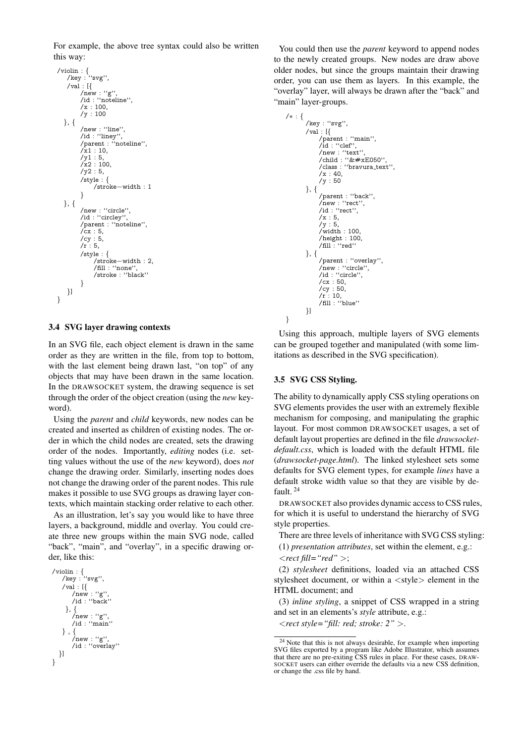For example, the above tree syntax could also be written this way:

```
/violin : {
/key : ''svg'',
    \sqrt{val} : [{
           /new : "g"
           /id : ''noteline'',
/x : 100,
           /\text{y} : 100}, {
           /new : ''line'',
/id : ''liney'',
/parent : ''noteline'',
           /\bar{x}1 : 10,/y1 : 5,
           /x2 : 100.
           /yz : 5,/style : {
                 /stroke−width : 1
            }
   }, {
           /new : ''circle'',
/id : ''circley'',
           /parent : ''noteline'',
/cx : 5,
           /cy : 5,
           /r : 5,/style : {
                  /stroke−width : 2,
/fill : ''none'',
                  /stroke : ''black''
           }
    }]
}
```
## 3.4 SVG layer drawing contexts

In an SVG file, each object element is drawn in the same order as they are written in the file, from top to bottom, with the last element being drawn last, "on top" of any objects that may have been drawn in the same location. In the DRAWSOCKET system, the drawing sequence is set through the order of the object creation (using the *new* keyword).

Using the *parent* and *child* keywords, new nodes can be created and inserted as children of existing nodes. The order in which the child nodes are created, sets the drawing order of the nodes. Importantly, *editing* nodes (i.e. setting values without the use of the *new* keyword), does *not* change the drawing order. Similarly, inserting nodes does not change the drawing order of the parent nodes. This rule makes it possible to use SVG groups as drawing layer contexts, which maintain stacking order relative to each other.

As an illustration, let's say you would like to have three layers, a background, middle and overlay. You could create three new groups within the main SVG node, called "back", "main", and "overlay", in a specific drawing order, like this:

```
/violin : {
/key : ''svg'',
     /val : [{
/new : ''g'',
         /id : ''back''
      }, {
         /new : "g"
         /id : "main"
    } , {
         /new : ''g'',
/id : ''overlay''
  }]
}
```
You could then use the *parent* keyword to append nodes to the newly created groups. New nodes are draw above older nodes, but since the groups maintain their drawing order, you can use them as layers. In this example, the "overlay" layer, will always be drawn after the "back" and "main" layer-groups.

```
/∗ : {
/key : ''svg'',
        \sqrt{val} : [{
               /parent : ''main'',
               /id : ''clef'',
               /new : "text"
               \frac{1}{\cosh 1} : "\&\#xE050"/class : ''bravura text'',
               /x : 40,/y : 50
        }, {
               /parent : ''back'',
               /new : ''rect'',
/id : ''rect'',
               /x : 5,/y : 5,/width : 100,
               /height : 100,
/fill : ''red''
        }, {
               /parent : ''overlay'',
/new : ''circle'',
/id : ''circle'',
               /cx : 50,
               /cy : 50,
/r : 10,
/fill : ''blue''
        }]
```
Using this approach, multiple layers of SVG elements can be grouped together and manipulated (with some limitations as described in the SVG specification).

## 3.5 SVG CSS Styling.

}

The ability to dynamically apply CSS styling operations on SVG elements provides the user with an extremely flexible mechanism for composing, and manipulating the graphic layout. For most common DRAWSOCKET usages, a set of default layout properties are defined in the file *drawsocketdefault.css*, which is loaded with the default HTML file (*drawsocket-page.html*). The linked stylesheet sets some defaults for SVG element types, for example *lines* have a default stroke width value so that they are visible by default. [24](#page-6-0)

DRAWSOCKET also provides dynamic access to CSS rules, for which it is useful to understand the hierarchy of SVG style properties.

There are three levels of inheritance with SVG CSS styling:

- (1) *presentation attributes*, set within the element, e.g.:
- <*rect fill="red"* >;

(2) *stylesheet* definitions, loaded via an attached CSS stylesheet document, or within a <style> element in the HTML document; and

(3) *inline styling*, a snippet of CSS wrapped in a string and set in an elements's *style* attribute, e.g.:

<*rect style="fill: red; stroke: 2"* >.

<span id="page-6-0"></span> $24$  Note that this is not always desirable, for example when importing SVG files exported by a program like Adobe Illustrator, which assumes that there are no pre-exiting CSS rules in place. For these cases, DRAW-SOCKET users can either override the defaults via a new CSS definition, or change the .css file by hand.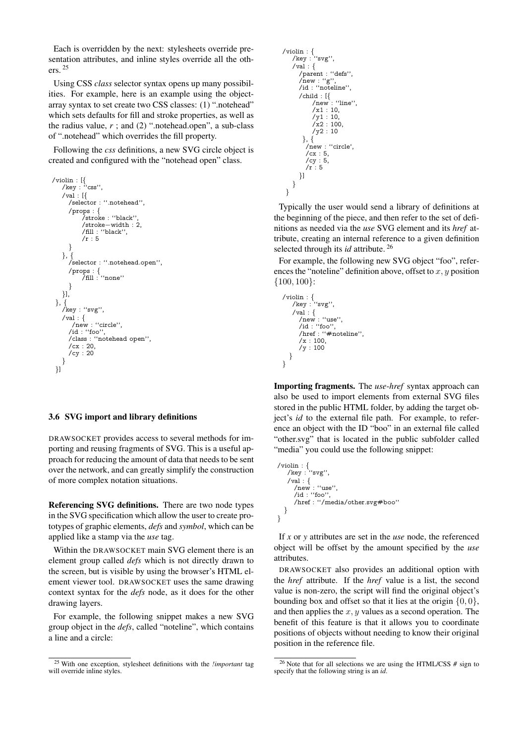Each is overridden by the next: stylesheets override presentation attributes, and inline styles override all the others. [25](#page-7-0)

Using CSS *class* selector syntax opens up many possibilities. For example, here is an example using the objectarray syntax to set create two CSS classes: (1) ".notehead" which sets defaults for fill and stroke properties, as well as the radius value,  $r$ ; and (2) ".notehead.open", a sub-class of ".notehead" which overrides the fill property.

Following the *css* definitions, a new SVG circle object is created and configured with the "notehead open" class.

```
/violin : [{
/key : ''css'',
   /val : [{
      /selector : ''.notehead'',
      /props : {
            /stroke : ''black'',
           /stroke−width : 2,
           /fill : ''black'',
           /\mathrm{r} : 5}
   \}, {
      /selector : ''.notehead.open'',
      /props : {
/fill : ''none''
      }
   }],
 }, {
/key : ''svg'',
   /val : {
/new : ''circle'',
      /id : "foo",
      /class : ''notehead open'',
      /cx : 20,
      /cy : 20
   }
}]
```
#### 3.6 SVG import and library definitions

DRAWSOCKET provides access to several methods for importing and reusing fragments of SVG. This is a useful approach for reducing the amount of data that needs to be sent over the network, and can greatly simplify the construction of more complex notation situations.

Referencing SVG definitions. There are two node types in the SVG specification which allow the user to create prototypes of graphic elements, *defs* and *symbol*, which can be applied like a stamp via the *use* tag.

Within the DRAWSOCKET main SVG element there is an element group called *defs* which is not directly drawn to the screen, but is visible by using the browser's HTML element viewer tool. DRAWSOCKET uses the same drawing context syntax for the *defs* node, as it does for the other drawing layers.

For example, the following snippet makes a new SVG group object in the *defs*, called "noteline", which contains a line and a circle:

```
/violin : {
/key : ''svg'',
    \sqrt{val} : {
       /parent : ''defs'',
       /new : ''g'',
/id : ''noteline'',
       /child : [{
            /new : ''line'',
            /x1 : 10,
            /\text{v1} : 10\chi2 : 100,
            /y2 : 10
        }, {
          /new : ''circle',
          .<br>/cx : 5,
         /cy : 5,
         /r: 5
      }]
   }
 }
```
Typically the user would send a library of definitions at the beginning of the piece, and then refer to the set of definitions as needed via the *use* SVG element and its *href* attribute, creating an internal reference to a given definition selected through its *id* attribute. [26](#page-7-1)

For example, the following new SVG object "foo", references the "noteline" definition above, offset to  $x, y$  position {100, 100}:

```
/violin : {
/key : ''svg'',
    /val : \{/new : "use"
       /id : ''foo'',
       /href : ''#noteline'',
       \frac{1}{x} : 100,
       /y : 100
  }
}
```
Importing fragments. The *use*-*href* syntax approach can also be used to import elements from external SVG files stored in the public HTML folder, by adding the target object's *id* to the external file path. For example, to reference an object with the ID "boo" in an external file called "other.svg" that is located in the public subfolder called "media" you could use the following snippet:

```
/violin : {
/key : ''svg'',
    \sqrt{val} : {
      /new : ''use'',
      /id : ''foo'',
      /href : ''/media/other.svg#boo''
  }
}
```
If *x* or *y* attributes are set in the *use* node, the referenced object will be offset by the amount specified by the *use* attributes.

DRAWSOCKET also provides an additional option with the *href* attribute. If the *href* value is a list, the second value is non-zero, the script will find the original object's bounding box and offset so that it lies at the origin  $\{0, 0\}$ , and then applies the  $x, y$  values as a second operation. The benefit of this feature is that it allows you to coordinate positions of objects without needing to know their original position in the reference file.

<span id="page-7-0"></span><sup>25</sup> With one exception, stylesheet definitions with the *!important* tag will override inline styles.

<span id="page-7-1"></span><sup>26</sup> Note that for all selections we are using the HTML/CSS *#* sign to specify that the following string is an *id*.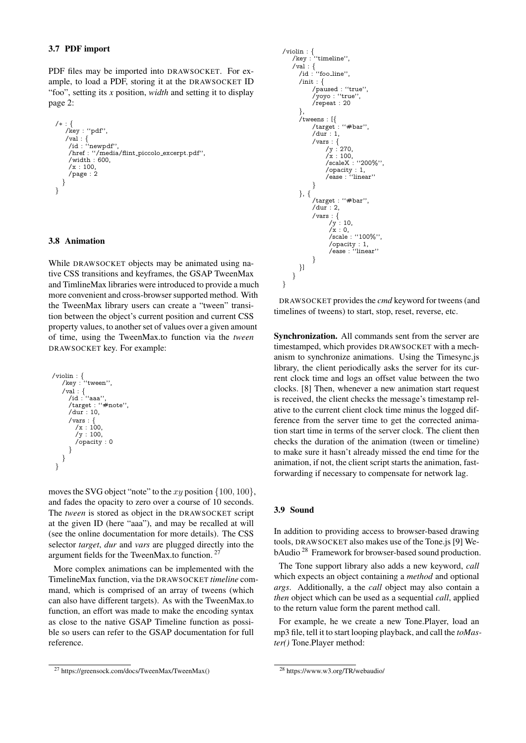## 3.7 PDF import

PDF files may be imported into DRAWSOCKET. For example, to load a PDF, storing it at the DRAWSOCKET ID "foo", setting its *x* position, *width* and setting it to display page 2:

```
/∗ : {
   /key : ''pdf'',
    /val : {
/id : ''newpdf'',
     /href : ''/media/flint piccolo excerpt.pdf'',
     \sqrt{\text{width}} : 600.
     /x : 100/page : 2
  }
}
```
## 3.8 Animation

While DRAWSOCKET objects may be animated using native CSS transitions and keyframes, the GSAP TweenMax and TimlineMax libraries were introduced to provide a much more convenient and cross-browser supported method. With the TweenMax library users can create a "tween" transition between the object's current position and current CSS property values, to another set of values over a given amount of time, using the TweenMax.to function via the *tween* DRAWSOCKET key. For example:

```
/violin : {
/key : ''tween'',
    /val : {
/id : ''aaa'',
       /target : ''#note'',
       /dur : 10,
       /vars : {
          /x : 100,
/y : 100,
          /opacity : 0
      }
   }
}
```
moves the SVG object "note" to the xy position  $\{100, 100\}$ , and fades the opacity to zero over a course of 10 seconds. The *tween* is stored as object in the DRAWSOCKET script at the given ID (here "aaa"), and may be recalled at will (see the online documentation for more details). The CSS selector *target*, *dur* and *vars* are plugged directly into the argument fields for the TweenMax.to function. [27](#page-8-0)

More complex animations can be implemented with the TimelineMax function, via the DRAWSOCKET *timeline* command, which is comprised of an array of tweens (which can also have different targets). As with the TweenMax.to function, an effort was made to make the encoding syntax as close to the native GSAP Timeline function as possible so users can refer to the GSAP documentation for full reference.

```
/violin : {
/key : ''timeline'',
     /val : {
/id : ''foo line'',
        /init : \{/paused : ''true'',
/yoyo : ''true'',
               /repeat : 20
        },
        /tweens : [{
               /target : ''#bar'',
               /dur : 1.
               /vars : {
/y : 270,
                      \frac{7}{x} : 100,
                      /scaleX : ''200%'',
                      /opacity : 1,
/ease : ''linear''
               }
        }, {
               /target : ''#bar'',
               /dur : 2,
               \begin{array}{c} \text{/vars}: {\{ \atop /y : 10,} \atop /x : 0,} \end{array}/scale : ''100%'',
                        /opacity : 1,
/ease : ''linear''
               }
       }]
    }
```
DRAWSOCKET provides the *cmd* keyword for tweens (and timelines of tweens) to start, stop, reset, reverse, etc.

Synchronization. All commands sent from the server are timestamped, which provides DRAWSOCKET with a mechanism to synchronize animations. Using the Timesync.js library, the client periodically asks the server for its current clock time and logs an offset value between the two clocks. [\[8\]](#page-10-7) Then, whenever a new animation start request is received, the client checks the message's timestamp relative to the current client clock time minus the logged difference from the server time to get the corrected animation start time in terms of the server clock. The client then checks the duration of the animation (tween or timeline) to make sure it hasn't already missed the end time for the animation, if not, the client script starts the animation, fastforwarding if necessary to compensate for network lag.

#### 3.9 Sound

}

In addition to providing access to browser-based drawing tools, DRAWSOCKET also makes use of the Tone.js [\[9\]](#page-10-8) WebAudio [28](#page-8-1) Framework for browser-based sound production.

The Tone support library also adds a new keyword, *call* which expects an object containing a *method* and optional *args*. Additionally, a the *call* object may also contain a *then* object which can be used as a sequential *call*, applied to the return value form the parent method call.

For example, he we create a new Tone.Player, load an mp3 file, tell it to start looping playback, and call the *toMaster()* Tone.Player method:

<span id="page-8-0"></span><sup>27</sup> https://greensock.com/docs/TweenMax/TweenMax()

<span id="page-8-1"></span><sup>28</sup> https://www.w3.org/TR/webaudio/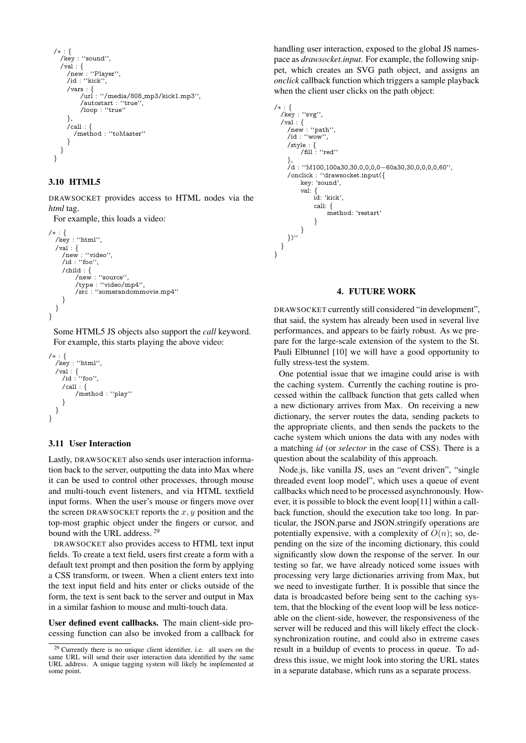```
/∗ : {
  /key : ''sound'',
   /val : \{/new : ''Player'',
/id : ''kick'',
     /vars : \{/url : ''/media/808 mp3/kick1.mp3'',
          /autostart : ''true'',
          /loop : ''true''
     },
     /call \colon/method : ''toMaster''
     }
  }
}
```
# 3.10 HTML5

DRAWSOCKET provides access to HTML nodes via the *html* tag.

For example, this loads a video:

```
/∗ : {
  /key : ''html'',
  \sqrt{val} : {
    /new : ''video'',
    /id : ''foo'',
    /child : {
         /new : ''source'',
         /type : ''video/mp4'',
         /src : ''somerandommovie.mp4''
    }
  }
}
```
Some HTML5 JS objects also support the *call* keyword. For example, this starts playing the above video:

```
/∗ : {
  /key : "html",
  /val : {
/id : ''foo'',
    /call : \{/method : ''play''
     }
  }
}
```
## 3.11 User Interaction

Lastly, DRAWSOCKET also sends user interaction information back to the server, outputting the data into Max where it can be used to control other processes, through mouse and multi-touch event listeners, and via HTML textfield input forms. When the user's mouse or fingers move over the screen DRAWSOCKET reports the  $x, y$  position and the top-most graphic object under the fingers or cursor, and bound with the URL address.<sup>[29](#page-9-0)</sup>

DRAWSOCKET also provides access to HTML text input fields. To create a text field, users first create a form with a default text prompt and then position the form by applying a CSS transform, or tween. When a client enters text into the text input field and hits enter or clicks outside of the form, the text is sent back to the server and output in Max in a similar fashion to mouse and multi-touch data.

User defined event callbacks. The main client-side processing function can also be invoked from a callback for handling user interaction, exposed to the global JS namespace as *drawsocket.input*. For example, the following snippet, which creates an SVG path object, and assigns an *onclick* callback function which triggers a sample playback when the client user clicks on the path object:

```
/∗ : {
/key : ''svg'',
  /val : \{/new : ''path'',
    /id : "wow",
     /style : {
/fill : ''red''
     },<br>/d : ''M100,100a30,30,0,0,0,0−60a30,30,0,0,0,60'',
     /onclick : ''drawsocket.input({
         key: 'sound',
         val: {
              id: 'kick',
              call: {
                   method: 'restart'
              }
          }
     })''
  }
}
```
#### 4. FUTURE WORK

DRAWSOCKET currently still considered "in development", that said, the system has already been used in several live performances, and appears to be fairly robust. As we prepare for the large-scale extension of the system to the St. Pauli Elbtunnel [\[10\]](#page-10-9) we will have a good opportunity to fully stress-test the system.

One potential issue that we imagine could arise is with the caching system. Currently the caching routine is processed within the callback function that gets called when a new dictionary arrives from Max. On receiving a new dictionary, the server routes the data, sending packets to the appropriate clients, and then sends the packets to the cache system which unions the data with any nodes with a matching *id* (or *selector* in the case of CSS). There is a question about the scalability of this approach.

Node.js, like vanilla JS, uses an "event driven", "single threaded event loop model", which uses a queue of event callbacks which need to be processed asynchronously. However, it is possible to block the event loop[\[11\]](#page-10-10) within a callback function, should the execution take too long. In particular, the JSON.parse and JSON.stringify operations are potentially expensive, with a complexity of  $O(n)$ ; so, depending on the size of the incoming dictionary, this could significantly slow down the response of the server. In our testing so far, we have already noticed some issues with processing very large dictionaries arriving from Max, but we need to investigate further. It is possible that since the data is broadcasted before being sent to the caching system, that the blocking of the event loop will be less noticeable on the client-side, however, the responsiveness of the server will be reduced and this will likely effect the clocksynchronization routine, and could also in extreme cases result in a buildup of events to process in queue. To address this issue, we might look into storing the URL states in a separate database, which runs as a separate process.

<span id="page-9-0"></span><sup>&</sup>lt;sup>29</sup> Currently there is no unique client identifier, i.e. all users on the same URL will send their user interaction data identified by the same URL address. A unique tagging system will likely be implemented at some point.